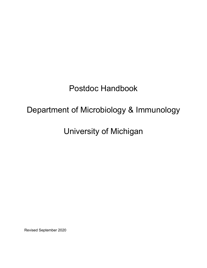# Postdoc Handbook

# Department of Microbiology & Immunology

# University of Michigan

Revised September 2020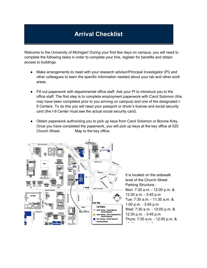# **Arrival Checklist**

Welcome to the University of Michigan! During your first few days on campus, you will need to complete the following tasks in order to complete your hire, register for benefits and obtain access to buildings.

- Make arrangements to meet with your research advisor/Principal Investigator (PI) and other colleagues to learn the specific information needed about your lab and other work areas.
- Fill out paperwork with departmental office staff. Ask your PI to introduce you to the office staff. The first step is to complete employment paperwork with Carol Solomon (this may have been completed prior to you arriving on campus) and one of the designated I-9 Centers. To do this you will need your passport or driver's license and social security card (the I-9 Center must see the actual social security card).
- Obtain paperwork authorizing you to pick up keys from Carol Solomon or Bonnie Krey. Once you have completed the paperwork, you will pick up keys at the key office at 525 Church Street. Map to the key office:



It is located on the sidewalk level of the Church Street Parking Structure.: Mon: 7:30 a.m. - 12:00 p.m. & 12:30 p.m. - 3:45 p.m Tue: 7:30 a.m. - 11:30 a.m. & 1:00 p.m. - 3:45 p.m Wed: 7:30 a.m. - 12:00 p.m. & 12:30 p.m. - 3:45 p.m Thurs: 7:30 a.m. - 12:00 p.m. & 12:30 p.m. - 3:45 p.m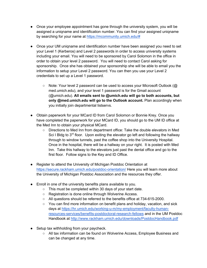- Once your employee appointment has gone through the university system, you will be assigned a uniqname and identification number. You can find your assigned uniqname by searching for your name at https://mcommunity.umich.edu/#
- Once your UM uniqname and identification number have been assigned you need to set your Level 1 (Kerberos) and Level 2 passwords in order to access university systems including your email. You will need to be sponsored by Carol Solomon in the office in order to obtain your level 2 password. You will need to contact Carol asking for sponsorship. Once she has obtained your sponsorship she will be able to email you the information to setup your Level 2 password. You can then you use your Level 2 credentials to set up a Level 1 password.
	- Note: Your level 2 password can be used to access your Microsoft Outlook (@ med.umich.edu), and your level 1 password is for the Gmail account (@umich.edu). **All emails sent to @umich.edu will go to both accounts, but only @med.umich.edu will go to the Outlook account.** Plan accordingly when you initially join departmental listservs.
- Obtain paperwork for your MCard ID from Carol Solomon or Bonnie Krey. Once you have completed the paperwork for your MCard ID, you should go to the UM ID office at the Med Inn to obtain your physical MCard.
	- Directions to Med Inn from department office: Take the double elevators in Med Sci I Bldg to  $3<sup>rd</sup>$  floor. Upon exiting the elevator go left and following the hallway through to window tunnels, past the coffee shop into the University Hospital. Once in the hospital, there will be a hallway on your right. It is posted with Med Inn. Take this hallway to the elevators just past the dental office and go to the first floor. Follow signs to the Key and ID Office.
- Register to attend the University of Michigan Postdoc Orientation at https://secure.rackham.umich.edu/postdoc-orientation/ Here you will learn more about the University of Michigan Postdoc Association and the resources they offer.
- Enroll in one of the university benefits plans available to you.
	- This must be completed within 30 days of your start date.
	- Registration is done online through Wolverine Access.
	- All questions should be referred to the benefits office at 734-615-2000.
	- You can find more information on benefit plans and holiday, vacation, and sick days at https://hr.umich.edu/working-u-m/my-employment/faculty-humanresources-services/benefits-postdoctoral-research-fellows and in the UM Postdoc Handbook at http://www.rackham.umich.edu/downloads/PostdocHandbook.pdf
- Setup tax withholding from your paycheck.
	- All tax information can be found on Wolverine Access, Employee Business and can be changed at any time.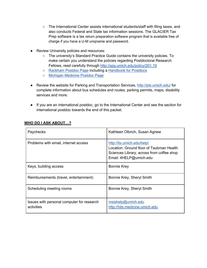- The International Center assists international students/staff with filing taxes, and also conducts Federal and State tax information sessions. The GLACIER Tax Prep software is a tax return preparation software program that is available free of charge if you have a U-M uniqname and password.
- Review University policies and resources:
	- The university's Standard Practice Guide contains the university policies. To make certain you understand the policies regarding Postdoctoral Research Fellows, read carefully through http://spg.umich.edu/policy/201.19
	- Rackham Postdoc Page including a Handbook for Postdocs
	- Michigan Medicine Postdoc Page
- Review the website for Parking and Transportation Services, http://pts.umich.edu/ for complete information about bus schedules and routes, parking permits, maps, disability services and more.
- If you are an international postdoc, go to the International Center and see the section for international postdoc towards the end of this packet.

| Paychecks                                                | Kathleen Olbrich, Susan Agnew                                                                                                                 |
|----------------------------------------------------------|-----------------------------------------------------------------------------------------------------------------------------------------------|
| Problems with email, internet access                     | http://its.umich.edu/help/<br>Location: Ground floor of Taubman Health<br>Sciences Library, across from coffee shop<br>Email: 4HELP@umich.edu |
| Keys, building access                                    | <b>Bonnie Krey</b>                                                                                                                            |
| Reimbursements (travel, entertainment)                   | Bonnie Krey, Sheryl Smith                                                                                                                     |
| Scheduling meeting rooms                                 | Bonnie Krey, Sheryl Smith                                                                                                                     |
| Issues with personal computer for research<br>activities | msishelp@umich.edu<br>http://hits.medicine.umich.edu                                                                                          |

### **WHO DO I ASK ABOUT…?**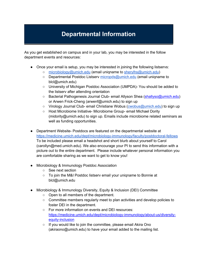# **Departmental Information**

As you get established on campus and in your lab, you may be interested in the follow department events and resources:

- Once your email is setup, you may be interested in joining the following listservs:
	- microbiology@umich.edu (email uniqname to sherylhs@umich.edu)
	- Departmental Postdoc Listserv micropds@umich.edu (email uniqname to blcl@umich.edu)
	- University of Michigan Postdoc Association (UMPDA)- You should be added to the listserv after attending orientation
	- Bacterial Pathogenesis Journal Club- email Allyson Shea (shallyso@umich.edu) or Arwen Frick-Cheng (arwenf@umich.edu) to sign up
	- Virology Journal Club- email Christiane Wobus (cwobus@umich.edu) to sign up
	- Host Microbiome Initiative- Microbiome Group- email Michael Dority (midority@umich.edu) to sign up. Emails include microbiome related seminars as well as funding opportunities.
- Department Website- Postdocs are featured on the departmental website at https://medicine.umich.edu/dept/microbiology-immunology/faculty/postdoctoral-fellows To be included please email a headshot and short blurb about yourself to Carol (carollyn@med.umich.edu). We also encourage your PI to send this information with a picture out to the entire department. Please include whatever personal information you are comfortable sharing as we want to get to know you!
- Microbiology & Immunology Postdoc Association
	- See next section
	- To join the M&I Postdoc listserv email your uniqname to Bonnie at blcl@umich.edu
- Microbiology & Immunology Diversity, Equity & Inclusion (DEI) Committee
	- Open to all members of the department.
	- Committee members regularly meet to plan activities and develop policies to foster DEI in the department.
	- For more information on events and DEI resources: https://medicine.umich.edu/dept/microbiology-immunology/about-us/diversityequity-inclusion
	- If you would like to join the committee, please email Akira Ono (akiraono@umich.edu) to have your email added to the mailing list.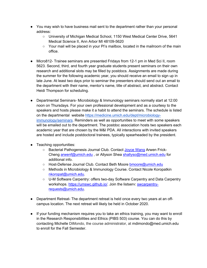- You may wish to have business mail sent to the department rather than your personal address:
	- University of Michigan Medical School, 1150 West Medical Center Drive, 5641 Medical Science II, Ann Arbor MI 48109-5620
	- $\circ$  Your mail will be placed in your PI's mailbox, located in the mailroom of the main office.
- Micro812- Trainee seminars are presented Fridays from 12-1 pm in Med Sci II, room 5623. Second, third, and fourth year graduate students present seminars on their own research and additional slots may be filled by postdocs. Assignments are made during the summer for the following academic year, you should receive an email to sign up in late June. At least two days prior to seminar the presenters should send out an email to the department with their name, mentor's name, title of abstract, and abstract. Contact Heidi Thompson for scheduling.
- Departmental Seminars- Microbiology & Immunology seminars normally start at 12:00 noon on Thursdays. For your own professional development and as a courtesy to the speakers and hosts please make it a habit to attend the seminars. The schedule is listed on the departmental website https://medicine.umich.edu/dept/microbiologyimmunology/seminars. Reminders as well as opportunities to meet with some speakers will be emailed out to the department. The postdoc association hosts two speakers each academic year that are chosen by the M&I PDA. All interactions with invited speakers are hosted and include postdoctoral trainees, typically spearheaded by the president.
- Teaching opportunities:
	- Bacterial Pathogenesis Journal Club. Contact Joyce Wang Arwen Frick-Cheng arwenf@umich.edu , or Allyson Shea shallyso@med.umich.edu for additional info.
	- Host-Defense Journal Club. Contact Beth Moore bmoore@umich.edu
	- Methods in Microbiology & Immunology Course. Contact Nicole Koropatkin nkoropat@umich.edu.
	- U-M Software Carpentry: offers two-day Software Carpentry and Data Carpentry workshops. https://umswc.github.io/. Join the listserv: swcarpentryrequests@umich.edu.
- Department Retreat- The department retreat is held once every two years at an offcampus location. The next retreat will likely be held in October 2020.
- If your funding mechanism requires you to take an ethics training, you may want to enroll in the Research Responsibilities and Ethics (PIBS 503) course. You can do this by contacting Michelle DiMondo, the course administrator, at mdimondo@med.umich.edu to enroll for the Fall Semester.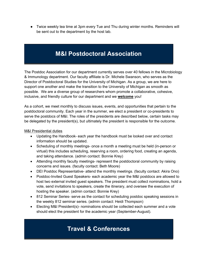● Twice weekly tea time at 3pm every Tue and Thu during winter months. Reminders will be sent out to the department by the host lab.

# **M&I Postdoctoral Association**

The Postdoc Association for our department currently serves over 40 fellows in the Microbiology & Immunology department. Our faculty affiliate is Dr. Michele Swanson, who serves as the Director of Postdoctoral Studies for the University of Michigan. As a group, we are here to support one another and make the transition to the University of Michigan as smooth as possible. We are a diverse group of researchers whom promote a collaborative, cohesive, inclusive, and friendly culture for our department and we **welcome** you!

As a cohort, we meet monthly to discuss issues, events, and opportunities that pertain to the postdoctoral community. Each year in the summer, we elect a president or co-presidents to serve the postdocs of M&I. The roles of the presidents are described below, certain tasks may be delegated by the president(s), but ultimately the president is responsible for the outcome.

#### M&I Presidential duties

- Updating the Handbook- each year the handbook must be looked over and contact information should be updated.
- Scheduling of monthly meetings- once a month a meeting must be held (in-person or virtual) this includes scheduling, reserving a room, ordering food, creating an agenda, and taking attendance. (admin contact: Bonnie Krey)
- Attending monthly faculty meetings- represent the postdoctoral community by raising concerns and issues. (faculty contact: Beth Moore)
- DEI Postdoc Representative- attend the monthly meetings. (faculty contact: Akira Ono)
- Postdoc-Invited Guest Speakers- each academic year the M&I postdocs are allowed to host two external invited guest speakers. The president must collect nominations, hold a vote, send invitations to speakers, create the itinerary, and oversee the execution of hosting the speaker. (admin contact: Bonnie Krey)
- 812 Seminar Series- serve as the contact for scheduling postdoc speaking sessions in the weekly 812 seminar series. (admin contact: Heidi Thompson)
- Electing M&I President(s)- nominations should be collected each summer and a vote should elect the president for the academic year (September-August).

# **Travel & Conferences**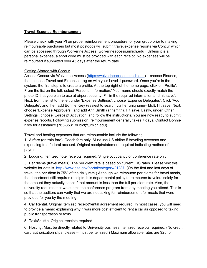### **Travel Expense Reimbursement**

Please check with your PI on proper reimbursement procedure for your group prior to making reimbursable purchases but most postdocs will submit travel/expense reports via Concur which can be accessed through Wolverine Access (wolverineaccess.umich.edu). Unless it is a personal expense, a short code must be provided with each receipt. No expenses will be reimbursed if submitted over 45 days after the return date.

### Getting Started with Concur

Access Concur via Wolverine Access (https://wolverineaccess.umich.edu) – choose Finance, then choose Travel and Expense. Log on with your Level 1 password. Once you're in the system, the first step is to create a profile. At the top right of the home page, click on 'Profile'. From the list on the left, select 'Personal Information.' Your name should exactly match the photo ID that you plan to use at airport security. Fill in the required information and hit 'save'. Next; from the list to the left under 'Expense Settings', choose 'Expense Delegates'. Click 'Add Delegate', and then add Bonnie Krey (easiest to search via her uniqname– blcl). Hit save. Next, choose 'Expense Approvers', and add Ann Smith (annsmith). Hit save. Lastly, under 'Other Settings', choose 'E-receipt Activation' and follow the instructions. You are now ready to submit expense reports. Following submission, reimbursement generally takes 7 days. Contact Bonnie Krey for assistance (763-3531 or blcl@umich.edu).

Travel and hosting expenses that are reimbursable include the following:

1. Airfare (or train fare). Coach fare only. Must use US airline if traveling overseas and expensing to a federal account. Original receipt/statement required indicating method of payment.

2. Lodging. Itemized hotel receipts required. Single occupancy or conference rate only.

3. Per diems (travel meals). The per diem rate is based on current IRS rates. Please visit this website for details. http://www.gsa.gov/portal/category/21287. (On the first and last days of travel, the per diem is 75% of the daily rate.) Although we reimburse per diems for travel meals, the department still requires receipts. It is departmental policy to reimburse travelers solely for the amount they actually spent if that amount is less than the full per diem rate. Also, the university requires that we submit the conference program from any meeting you attend. This is so that the auditors can verify that we are not asking for reimbursement for meals that were provided for you by the meeting.

4. Car Rental. Original itemized receipt/rental agreement required. In most cases, you will need to provide a memo explaining why it was more cost efficient to rent a car as opposed to taking public transportation or taxis.

5. Taxi/Shuttle. Original receipts required.

6. Hosting. Must be directly related to University business. Itemized receipts required. (No credit card authorization slips, please – must be itemized.) Maximum allowable rates are \$25 for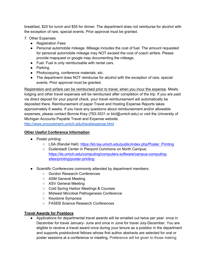breakfast, \$25 for lunch and \$55 for dinner. The department does not reimburse for alcohol with the exception of rare, special events. Prior approval must be granted.

- 7. Other Expenses
	- Registration Fees
	- Personal automobile mileage. Mileage includes the cost of fuel. The amount requested for personal automobile mileage may NOT exceed the cost of coach airfare. Please provide mapquest or google map documenting the mileage.
	- Fuel. Fuel is only reimbursable with rental cars.
	- Parking.
	- Photocopying, conference materials, etc.
	- The department does NOT reimburse for alcohol with the exception of rare, special events. Prior approval must be granted.

Registration and airfare can be reimbursed prior to travel, when you incur the expense. Meals, lodging and other travel expenses will be reimbursed after completion of the trip. If you are paid via direct deposit for your payroll check, your travel reimbursement will automatically be deposited there. Reimbursement of paper Travel and Hosting Expense Reports takes approximately 6 weeks. If you have any questions about reimbursement and/or allowable expenses, please contact Bonnie Krey (763-3531 or blcl@umich.edu) or visit the University of Michigan Accounts Payable Travel and Expense website.

http://www.procurement.umich.edu/travelexpense.html

#### **Other Useful Conference Information**

- Poster printing:
	- LSA (Randal Hall): https://kb.lsa.umich.edu/public/index.php/Poster\_Printing
	- Duderstadt Center in Pierpont Commons on North Campus: https://its.umich.edu/computing/computers-software/campus-computingsites/printing/poster-printing
- Scientific Conferences commonly attended by department members:
	- Gordon Research Conferences
	- ASM General Meeting
	- ASV General Meeting
	- Cold Spring Harbor Meetings & Courses
	- Midwest Microbial Pathogenesis Conference
	- Keystone Symposia
	- FASEB Science Research Conferences

#### **Travel Awards for Postdocs**

● Applications for departmental travel awards will be emailed out twice per year- once in December for travel January- June and once in June for travel July-December. You are eligible to receive a travel award once during your tenure as a postdoc in the department and supports postdoctoral fellows whose first author abstracts are selected for oral or poster sessions at a conference or meeting. Preference will be given to those making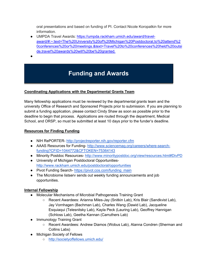oral presentations and based on funding of PI. Contact Nicole Koropatkin for more information.

● UMPDA Travel Awards: https://umpda.rackham.umich.edu/award/travelaward/#:~:text=The%20University%20of%20Michigan%20Postdoctoral,to%20attend%2 0conferences%20or%20meetings.&text=Travel%20to%20conferences%20held%20outsi de,travel%20awards%20will%20be%20granted.

●

# **Funding and Awards**

## **Coordinating Applications with the Departmental Grants Team**

Many fellowship applications must be reviewed by the departmental grants team and the university Office of Research and Sponsored Projects prior to submission. If you are planning to submit a funding application, please contact Cindy Shaw as soon as possible prior to the deadline to begin that process. Applications are routed through the department, Medical School, and ORSP, so must be submitted at least 10 days prior to the funder's deadline.

## **Resources for Finding Funding**

- NIH RePORTER- http://projectreporter.nih.gov/reporter.cfm
- AAAS Resources for Funding- http://www.sciencemag.org/careers/where-searchfunding?CFID=1044772&CFTOKEN=75364143
- Minority Postdoc Resources- http://www.minoritypostdoc.org/view/resources.html#DivPD
- University of Michigan Postdoctoral Opportunitieshttp://www.rackham.umich.edu/postdoctoral/opportunities
- Pivot Funding Search- https://pivot.cos.com/funding\_main
- The Microbiome listserv sends out weekly funding announcements and job opportunities.

## **Internal Fellowship**

- Molecular Mechanisms of Microbial Pathogenesis Training Grant
	- Recent Awardees: Arianna Miles-Jay (Snitkin Lab), Kris Blair (Sandkvist Lab), Jay Vornhagen (Bachman Lab), Charles Wang (Dawid Lab), Jacqueline Esquiaqui (Telesnitsky Lab), Kayla Peck (Lauring Lab), Geoffrey Hannigan (Schloss Lab), Geetha Kannan (Carruthers Lab)
- Immunology Training Grant
	- Recent Awardees: Andrew Diamos (Wobus Lab), Alanna Condren (Sherman and Collins Labs)
- Michigan Society of Fellows
	- http://societyoffellows.umich.edu/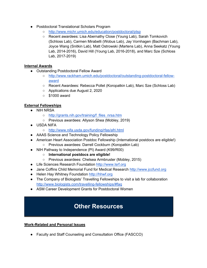- Postdoctoral Translational Scholars Program
	- http://www.michr.umich.edu/education/postdoctoral/ptsp
	- Recent awardees: Lisa Abernathy Close (Young Lab), Sarah Tomkovich (Schloss Lab), Carmen Mirabelli (Wobus Lab), Jay Vornhagen (Bachman Lab), Joyce Wang (Snitkin Lab), Matt Ostrowski (Martens Lab), Anna Seekatz (Young Lab, 2014-2016), David Hill (Young Lab, 2016-2018), and Marc Sze (Schloss Lab, 2017-2019)

### **Internal Awards**

- Outstanding Postdoctoral Fellow Award
	- http://www.rackham.umich.edu/postdoctoral/outstanding-postdoctoral-fellowaward
	- Recent Awardees: Rebecca Pollet (Koropatkin Lab), Marc Sze (Schloss Lab)
	- Applications due August 2, 2020
	- $\circ$  \$1000 award

### **External Fellowships**

- NIH NRSA
	- o http://grants.nih.gov/training/f files nrsa.htm
	- Previous awardees: Allyson Shea (Mobley, 2019)
- USDA NIFA
	- http://www.nifa.usda.gov/funding/rfas/afri.html
- AAAS Science and Technology Policy Fellowship
- American Heart Association Postdoc Fellowship (International postdocs are eligible!)
	- Previous awardees: Darrell Cockburn (Koropatkin Lab)
- NIH Pathway to Independence (PI) Award (K99/R00)
	- **International postdocs are eligible!**
	- Previous awardees: Chelsea Armbruster (Mobley, 2015)
- Life Sciences Research Foundation http://www.lsrf.org
- Jane Coffins Child Memorial Fund for Medical Research http://www.jccfund.org
- Helen Hay Whitney Foundation http://hhwf.org
- The Company of Biologists' Travelling Fellowships to visit a lab for collaboration http://www.biologists.com/travelling-fellowships/#faq
- ASM Career Development Grants for Postdoctoral Women

# **Other Resources**

#### **Work-Related and Personal Issues**

● Faculty and Staff Counseling and Consultation Office (FASCCO)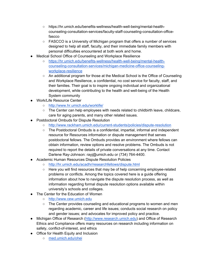- https://hr.umich.edu/benefits-wellness/health-well-being/mental-healthcounseling-consultation-services/faculty-staff-counseling-consultation-officefascco
- FASCCO is a University of Michigan program that offers a number of services designed to help all staff, faculty, and their immediate family members with personal difficulties encountered at both work and home.
- Medical School Office of Counseling and Workplace Resilience
	- https://hr.umich.edu/benefits-wellness/health-well-being/mental-healthcounseling-consultation-services/michigan-medicine-office-counselingworkplace-resilience
	- An additional program for those at the Medical School is the Office of Counseling and Workplace Resilience, a confidential, no cost service for faculty, staff, and their families. Their goal is to inspire ongoing individual and organizational development, while contributing to the health and well-being of the Health System community
- Work/Life Resource Center
	- http://www.hr.umich.edu/worklife/
	- The Center can help employees with needs related to childbirth leave, childcare, care for aging parents, and many other related issues.
- Postdoctoral Ombuds for Dispute Resolution
	- http://www.rackham.umich.edu/current-students/policies/dispute-resolution
	- The Postdoctoral Ombuds is a confidential, impartial, informal and independent resource for Resources information or dispute management that serves postdoctoral fellows. The Ombuds provides an environment where fellows can obtain information, review options and resolve problems. The Ombuds is not required to report the details of private conversations at any time. Contact Darlene Ray-Johnson: rayj@umich.edu or (734) 764-4400.
- Academic Human Resources Dispute Resolution Policies
	- http://hr.umich.edu/acadhr/researchfellows/dispute.html
	- Here you will find resources that may be of help concerning employee-related problems or conflicts. Among the topics covered here is a guide offering information about how to navigate the dispute resolution process, as well as information regarding formal dispute resolution options available within university's schools and colleges.
- The Center for the Education of Women
	- http://www.cew.umich.edu
	- The Center provides counseling and educational programs to women and men regarding academic, career and life issues; conducts social research on policy and gender issues; and advocates for improved policy and practice.
- Michigan Office of Research (http://www.research.umich.edu) and Office of Research Ethics and Compliance offers many resources on research including information on safety, conflict-of-interest, and ethics
- Office for Health Equity and Inclusion
	- med.umich.edu/ohei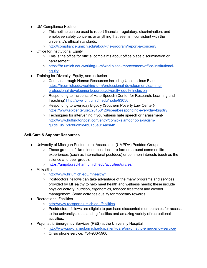- UM Compliance Hotline
	- This hotline can be used to report financial, regulatory, discrimination, and employee safety concerns or anything that seems inconsistent with the university's ethical standards.
	- o http://compliance.umich.edu/about-the-program/report-a-concern/
- Office for Institutional Equity
	- This is the office for official complaints about office place discrimination or harrasement.
	- https://hr.umich.edu/working-u-m/workplace-improvement/office-institutionalequity
- Training for Diversity, Equity, and Inclusion
	- Courses through Human Resources including Unconscious Bias: https://hr.umich.edu/working-u-m/professional-development/learningprofessional-development/courses/diversity-equity-inclusion
	- Responding to Incidents of Hate Speech (Center for Research, Learning and Teaching) http://www.crlt.umich.edu/node/93036
	- Responding to Everyday Bigotry (Southern Poverty Law Center) https://www.splcenter.org/20150126/speak-responding-everyday-bigotry
	- Techniques for intervening if you witness hate speech or harassmenthttp://www.huffingtonpost.com/entry/comic-islamophobia-racismguide\_us\_582b6cd5e4b01d8a014aea4b

#### **Self-Care & Support Resources**

- University of Michigan Postdoctoral Association (UMPDA) Postdoc Groups
	- These groups of like-minded postdocs are formed around common life experiences (such as international postdocs) or common interests (such as the science and beer group).
	- https://umpda.rackham.umich.edu/activities/circles/
- MHealthy
	- http://www.hr.umich.edu/mhealthy/
	- Postdoctoral fellows can take advantage of the many programs and services provided by MHealthy to help meet health and wellness needs; these include physical activity, nutrition, ergonomics, tobacco treatment and alcohol management. Some activities qualify for monetary rewards.
- Recreational Facilities
	- http://www.recsports.umich.edu/facilities
	- Postdoctoral fellows are eligible to purchase discounted memberships for access to the university's outstanding facilities and amazing variety of recreational activities.
- Psychiatric Emergency Services (PES) at the University Hospital
	- http://www.psych.med.umich.edu/patient-care/psychiatric-emergency-service/
	- Crisis phone service: 734-936-5900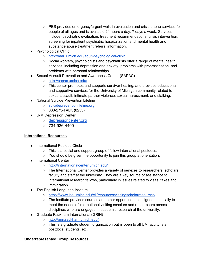- PES provides emergency/urgent walk-in evaluation and crisis phone services for people of all ages and is available 24 hours a day, 7 days a week. Services include: psychiatric evaluation, treatment recommendations, crisis intervention; screening for inpatient psychiatric hospitalization and mental health and substance abuse treatment referral information.
- **Psychological Clinic** 
	- http://mari.umich.edu/adult-psychological-clinic
	- Social workers, psychologists and psychiatrists offer a range of mental health services, including depression and anxiety, problems with procrastination, and problems with personal relationships.
- **Sexual Assault Prevention and Awareness Center (SAPAC)** 
	- http://sapac.umich.edu/
	- This center promotes and supports survivor healing, and provides educational and supportive services for the University of Michigan community related to sexual assault, intimate partner violence, sexual harassment, and stalking.
- National Suicide Prevention Lifeline
	- suicidepreventionlifeline.org
	- 800-273-TALK (8255)
- U-M Depression Center
	- depressioncenter.org
	- $\circ$  734-936-4400

#### **International Resources**

- International Postdoc Circle
	- This is a social and support group of fellow international postdocs.
	- You should be given the opportunity to join this group at orientation.
- International Center
	- http://internationalcenter.umich.edu/
	- The International Center provides a variety of services to researchers, scholars, faculty and staff at the university. They are a key source of assistance to international research fellows, particularly in issues related to visas, taxes and immigration.
- The English Language Institute
	- https://www.lsa.umich.edu/eli/resources/visitingscholarresources
	- The Institute provides courses and other opportunities designed especially to meet the needs of international visiting scholars and researchers across disciplines who are engaged in academic research at the university.
- Graduate Rackham International (GRIN)
	- http://grin.rackham.umich.edu/
	- $\circ$  This is a graduate student organization but is open to all UM faculty, staff, postdocs, students, etc.

#### **Underrepresented Group Resources**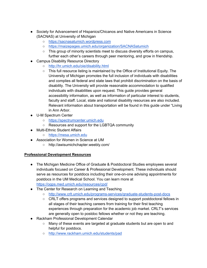- Society for Advancement of Hispanics/Chicanos and Native Americans in Science (SACNAS) at University of Michigan
	- https://sacnasatumich.wordpress.com
	- https://maizepages.umich.edu/organization/SACNASatumich
	- This group of minority scientists meet to discuss diversity efforts on campus, further each other's careers through peer mentoring, and grow in friendship.
- Campus Disability Resource Directory
	- http://hr.umich.edu/oie/disability.html
	- This full resource listing is maintained by the Office of Institutional Equity. The University of Michigan promotes the full inclusion of individuals with disabilities and complies all federal and state laws that prohibit discrimination on the basis of disability. The University will provide reasonable accommodation to qualified individuals with disabilities upon request. This guide provides general accessibility information, as well as information of particular interest to students, faculty and staff. Local, state and national disability resources are also included. Relevant information about transportation will be found in this guide under "Living in Ann Arbor.
- U-M Spectrum Center
	- https://spectrumcenter.umich.edu
	- Resources and support for the LGBTQA community
- Multi-Ethnic Student Affairs
	- https://mesa.umich.edu
- Association for Women in Science at UM
	- http://awisumichchapter.weebly.com/

#### **Professional Development Resources**

- The Michigan Medicine Office of Graduate & Postdoctoral Studies employees several individuals focused on Career & Professional Development. These individuals should serve as resources for postdocs including their one-on-one advising appointments for postdocs in the UM Medical School. You can learn more at
	- https://ogps.med.umich.edu/resources/cpd/
- The Center for Research on Learning and Teaching
	- http://www.crlt.umich.edu/programs-services/graduate-students-post-docs
	- CRLT offers programs and services designed to support postdoctoral fellows in all stages of their teaching careers from training for their first teaching experiences through preparation for the academic job market. CRLT's services are generally open to postdoc fellows whether or not they are teaching.
- Rackham Professional Development Calendar
	- Many of these events are targeted at graduate students but are open to and helpful for postdocs.
	- http://www.rackham.umich.edu/students/pad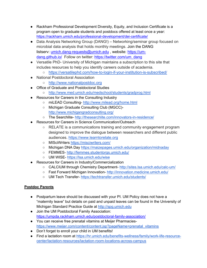- Rackham Professional Development Diversity, Equity, and Inclusion Certificate is a program open to graduate students and postdocs offered at least once a year: https://rackham.umich.edu/professional-development/dei-certificate/
- Data Analysis Networking Group (DANG!) Networking/seminar group focused on microbial data analysis that holds monthly meetings. Join the DANG listserv: umich.dang-requests@umich.edu, website: https://umdang.github.io/ Follow on twitter: https://twitter.com/um\_dang
- Versatile PhD- University of Michigan maintains a subscription to this site that includes resources to help you identify careers outside of academia.
	- o https://versatilephd.com/how-to-login-if-your-institution-is-subscribed/
- National Postdoctoral Association
	- http://www.nationalpostdoc.org
- Office of Graduate and Postdoctoral Studies
	- http://www.med.umich.edu/medschool/students/gradprog.html
- Resources for Careers in the Consulting Industry
	- miLEAD Consulting- http://www.milead.org/home.html
	- Michigan Graduate Consulting Club (MGCC) http://www.michigangradconsulting.org/
	- The Searchlite- http://thesearchlite.com/innovators-in-residence/
- **Resources for Careers in Science Communication/Outreach** 
	- RELATE is a communications training and community engagement program designed to improve the dialogue between researchers and different public audiences. https://www.learntorelate.org
	- MISciWriters https://misciwriters.com/
	- Michigan DNA Day https://maizepages.umich.edu/organization/midnaday
	- FEMMES- http://femmes.studentorgs.umich.edu/
	- UM WISE- https://lsa.umich.edu/wise
- Resources for Careers in Industry/Commercialization
	- CALCIUM through Chemistry Department- http://sites.lsa.umich.edu/calc-um/
	- Fast Forward Michigan Innovation- http://innovation.medicine.umich.edu/
	- UM Tech Transfer- https://techtransfer.umich.edu/students/

## **Postdoc Parents**

- Postpartum leave should be discussed with your PI. UM Policy does not have a "maternity leave" but details on paid and unpaid leaves can be found in the University of Michigan Standard Practice Guide at http://spg.umich.edu
- Join the UM Postdoctoral Family Association: https://umpda.rackham.umich.edu/postdoctoral-family-association/
- You can receive free prenatal vitamins at Meijer Pharmacieshttps://www.meijer.com/content/content.jsp?pageName=prenatal\_vitamins
- Don't forget to enroll your child in UM benefits!
- Find a lactation room at https://hr.umich.edu/benefits-wellness/family/work-life-resourcecenter/lactation-resources/lactation-room-locations-across-campus